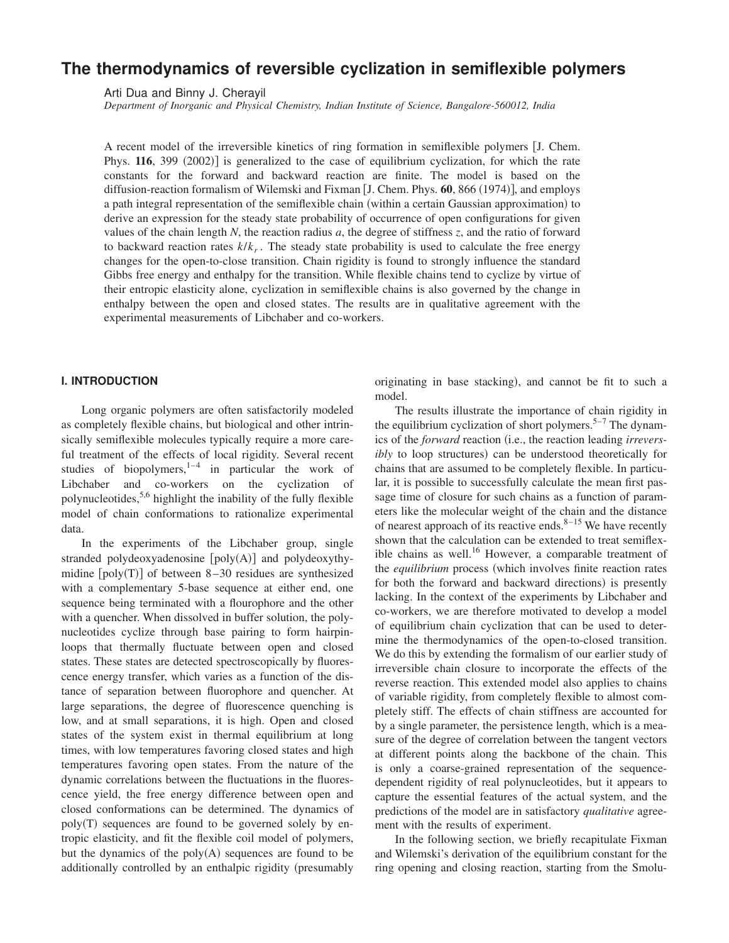# **The thermodynamics of reversible cyclization in semiflexible polymers**

Arti Dua and Binny J. Cherayil

*Department of Inorganic and Physical Chemistry, Indian Institute of Science, Bangalore-560012, India*

A recent model of the irreversible kinetics of ring formation in semiflexible polymers  $\overline{J}$ . Chem. Phys. **116**, 399 (2002)] is generalized to the case of equilibrium cyclization, for which the rate constants for the forward and backward reaction are finite. The model is based on the diffusion-reaction formalism of Wilemski and Fixman [J. Chem. Phys. **60**, 866 (1974)], and employs a path integral representation of the semiflexible chain (within a certain Gaussian approximation) to derive an expression for the steady state probability of occurrence of open configurations for given values of the chain length *N*, the reaction radius *a*, the degree of stiffness *z*, and the ratio of forward to backward reaction rates *k*/*k<sup>r</sup>* . The steady state probability is used to calculate the free energy changes for the open-to-close transition. Chain rigidity is found to strongly influence the standard Gibbs free energy and enthalpy for the transition. While flexible chains tend to cyclize by virtue of their entropic elasticity alone, cyclization in semiflexible chains is also governed by the change in enthalpy between the open and closed states. The results are in qualitative agreement with the experimental measurements of Libchaber and co-workers.

## **I. INTRODUCTION**

Long organic polymers are often satisfactorily modeled as completely flexible chains, but biological and other intrinsically semiflexible molecules typically require a more careful treatment of the effects of local rigidity. Several recent studies of biopolymers, $1-4$  in particular the work of Libchaber and co-workers on the cyclization of polynucleotides,  $5,6$  highlight the inability of the fully flexible model of chain conformations to rationalize experimental data.

In the experiments of the Libchaber group, single stranded polydeoxyadenosine  $[poly(A)]$  and polydeoxythymidine  $[poly(T)]$  of between 8–30 residues are synthesized with a complementary 5-base sequence at either end, one sequence being terminated with a flourophore and the other with a quencher. When dissolved in buffer solution, the polynucleotides cyclize through base pairing to form hairpinloops that thermally fluctuate between open and closed states. These states are detected spectroscopically by fluorescence energy transfer, which varies as a function of the distance of separation between fluorophore and quencher. At large separations, the degree of fluorescence quenching is low, and at small separations, it is high. Open and closed states of the system exist in thermal equilibrium at long times, with low temperatures favoring closed states and high temperatures favoring open states. From the nature of the dynamic correlations between the fluctuations in the fluorescence yield, the free energy difference between open and closed conformations can be determined. The dynamics of  $poly(T)$  sequences are found to be governed solely by entropic elasticity, and fit the flexible coil model of polymers, but the dynamics of the  $poly(A)$  sequences are found to be additionally controlled by an enthalpic rigidity (presumably

originating in base stacking), and cannot be fit to such a model.

The results illustrate the importance of chain rigidity in the equilibrium cyclization of short polymers.<sup>5–7</sup> The dynamics of the *forward* reaction (i.e., the reaction leading *irreversibly* to loop structures) can be understood theoretically for chains that are assumed to be completely flexible. In particular, it is possible to successfully calculate the mean first passage time of closure for such chains as a function of parameters like the molecular weight of the chain and the distance of nearest approach of its reactive ends. $8-15$  We have recently shown that the calculation can be extended to treat semiflexible chains as well.<sup>16</sup> However, a comparable treatment of the *equilibrium* process (which involves finite reaction rates for both the forward and backward directions) is presently lacking. In the context of the experiments by Libchaber and co-workers, we are therefore motivated to develop a model of equilibrium chain cyclization that can be used to determine the thermodynamics of the open-to-closed transition. We do this by extending the formalism of our earlier study of irreversible chain closure to incorporate the effects of the reverse reaction. This extended model also applies to chains of variable rigidity, from completely flexible to almost completely stiff. The effects of chain stiffness are accounted for by a single parameter, the persistence length, which is a measure of the degree of correlation between the tangent vectors at different points along the backbone of the chain. This is only a coarse-grained representation of the sequencedependent rigidity of real polynucleotides, but it appears to capture the essential features of the actual system, and the predictions of the model are in satisfactory *qualitative* agreement with the results of experiment.

In the following section, we briefly recapitulate Fixman and Wilemski's derivation of the equilibrium constant for the ring opening and closing reaction, starting from the Smolu-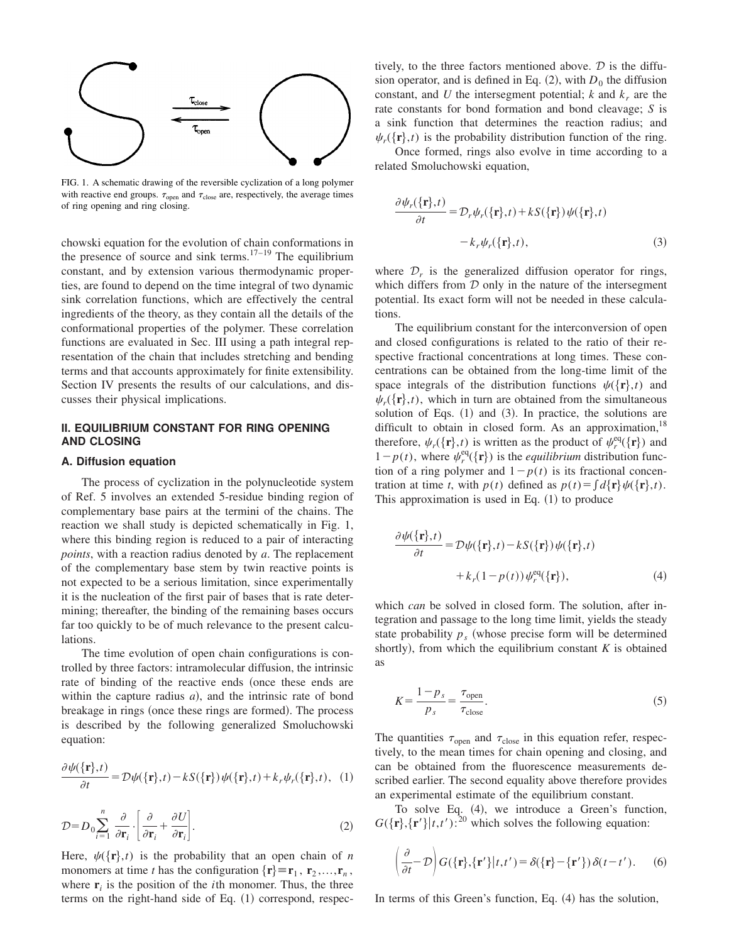

FIG. 1. A schematic drawing of the reversible cyclization of a long polymer with reactive end groups.  $\tau_{open}$  and  $\tau_{close}$  are, respectively, the average times of ring opening and ring closing.

chowski equation for the evolution of chain conformations in the presence of source and sink terms.<sup>17–19</sup> The equilibrium constant, and by extension various thermodynamic properties, are found to depend on the time integral of two dynamic sink correlation functions, which are effectively the central ingredients of the theory, as they contain all the details of the conformational properties of the polymer. These correlation functions are evaluated in Sec. III using a path integral representation of the chain that includes stretching and bending terms and that accounts approximately for finite extensibility. Section IV presents the results of our calculations, and discusses their physical implications.

# **II. EQUILIBRIUM CONSTANT FOR RING OPENING AND CLOSING**

#### **A. Diffusion equation**

The process of cyclization in the polynucleotide system of Ref. 5 involves an extended 5-residue binding region of complementary base pairs at the termini of the chains. The reaction we shall study is depicted schematically in Fig. 1, where this binding region is reduced to a pair of interacting *points*, with a reaction radius denoted by *a*. The replacement of the complementary base stem by twin reactive points is not expected to be a serious limitation, since experimentally it is the nucleation of the first pair of bases that is rate determining; thereafter, the binding of the remaining bases occurs far too quickly to be of much relevance to the present calculations.

The time evolution of open chain configurations is controlled by three factors: intramolecular diffusion, the intrinsic rate of binding of the reactive ends (once these ends are within the capture radius *a*), and the intrinsic rate of bond breakage in rings (once these rings are formed). The process is described by the following generalized Smoluchowski equation:

$$
\frac{\partial \psi(\{\mathbf{r}\},t)}{\partial t} = \mathcal{D}\psi(\{\mathbf{r}\},t) - kS(\{\mathbf{r}\})\psi(\{\mathbf{r}\},t) + k_r\psi_r(\{\mathbf{r}\},t), \tag{1}
$$

$$
\mathcal{D} = D_0 \sum_{i=1}^n \frac{\partial}{\partial \mathbf{r}_i} \cdot \left[ \frac{\partial}{\partial \mathbf{r}_i} + \frac{\partial U}{\partial \mathbf{r}_i} \right].
$$
 (2)

Here,  $\psi({\bf r},t)$  is the probability that an open chain of *n* monomers at time *t* has the configuration  $\{r\} \equiv r_1, r_2, \ldots, r_n$ , where  $\mathbf{r}_i$  is the position of the *i*th monomer. Thus, the three terms on the right-hand side of Eq.  $(1)$  correspond, respectively, to the three factors mentioned above.  $D$  is the diffusion operator, and is defined in Eq.  $(2)$ , with  $D_0$  the diffusion constant, and *U* the intersegment potential; *k* and  $k_r$  are the rate constants for bond formation and bond cleavage; *S* is a sink function that determines the reaction radius; and  $\psi_r(\{\mathbf{r}\},t)$  is the probability distribution function of the ring.

Once formed, rings also evolve in time according to a related Smoluchowski equation,

$$
\frac{\partial \psi_r(\{\mathbf{r}\},t)}{\partial t} = \mathcal{D}_r \psi_r(\{\mathbf{r}\},t) + kS(\{\mathbf{r}\}) \psi(\{\mathbf{r}\},t)
$$

$$
-k_r \psi_r(\{\mathbf{r}\},t), \qquad (3)
$$

where  $\mathcal{D}_r$  is the generalized diffusion operator for rings, which differs from  $D$  only in the nature of the intersegment potential. Its exact form will not be needed in these calculations.

The equilibrium constant for the interconversion of open and closed configurations is related to the ratio of their respective fractional concentrations at long times. These concentrations can be obtained from the long-time limit of the space integrals of the distribution functions  $\psi({\bf r},t)$  and  $\psi_r(\{\mathbf{r}\},t)$ , which in turn are obtained from the simultaneous solution of Eqs.  $(1)$  and  $(3)$ . In practice, the solutions are difficult to obtain in closed form. As an approximation,  $18$ therefore,  $\psi_r(\{\mathbf{r}\},t)$  is written as the product of  $\psi_r^{\text{eq}}(\{\mathbf{r}\})$  and  $1-p(t)$ , where  $\psi_r^{\text{eq}}(\{\mathbf{r}\})$  is the *equilibrium* distribution function of a ring polymer and  $1-p(t)$  is its fractional concentration at time *t*, with  $p(t)$  defined as  $p(t) = \int d\{\mathbf{r}\}\psi(\{\mathbf{r}\},t)$ . This approximation is used in Eq.  $(1)$  to produce

$$
\frac{\partial \psi(\{\mathbf{r}\},t)}{\partial t} = \mathcal{D}\psi(\{\mathbf{r}\},t) - kS(\{\mathbf{r}\})\psi(\{\mathbf{r}\},t) \n+ k_r(1 - p(t))\psi_r^{eq}(\{\mathbf{r}\}),
$$
\n(4)

which *can* be solved in closed form. The solution, after integration and passage to the long time limit, yields the steady state probability  $p_s$  (whose precise form will be determined shortly), from which the equilibrium constant  $K$  is obtained as

$$
K = \frac{1 - p_s}{p_s} = \frac{\tau_{\text{open}}}{\tau_{\text{close}}}.
$$
 (5)

The quantities  $\tau_{open}$  and  $\tau_{close}$  in this equation refer, respectively, to the mean times for chain opening and closing, and can be obtained from the fluorescence measurements described earlier. The second equality above therefore provides an experimental estimate of the equilibrium constant.

To solve Eq.  $(4)$ , we introduce a Green's function,  $G({\bf r}, {\bf r'}|t,t')$ :<sup>20</sup> which solves the following equation:

$$
\left(\frac{\partial}{\partial t} - \mathcal{D}\right) G(\{\mathbf{r}\},\{\mathbf{r}'\}|t,t') = \delta(\{\mathbf{r}\} - \{\mathbf{r}'\}) \delta(t-t'). \tag{6}
$$

In terms of this Green's function, Eq.  $(4)$  has the solution,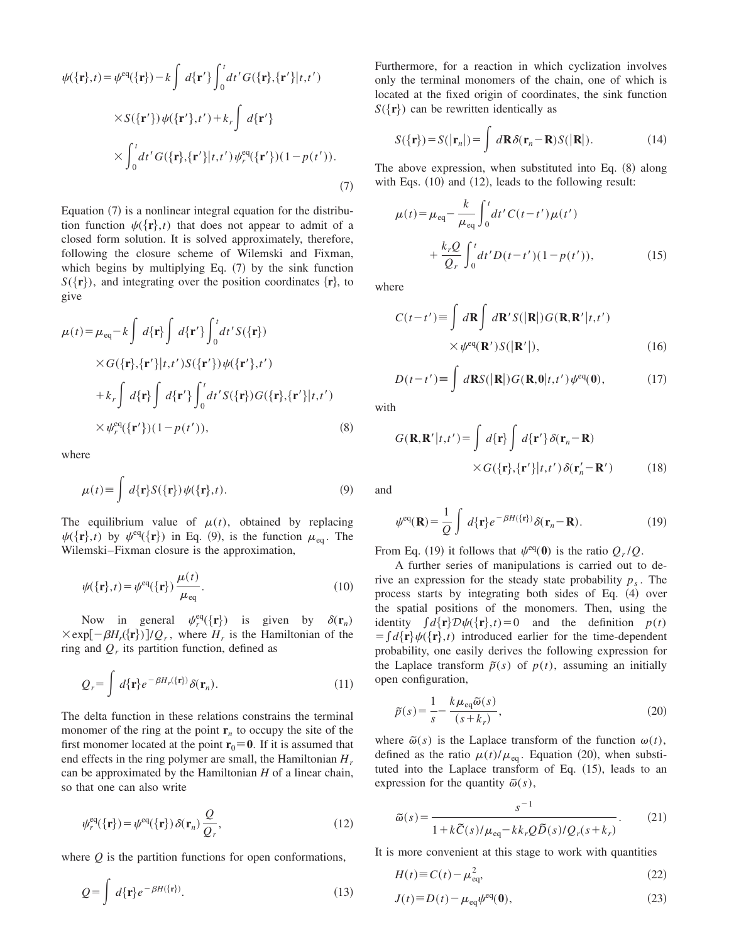$$
\psi(\lbrace \mathbf{r} \rbrace, t) = \psi^{\text{eq}}(\lbrace \mathbf{r} \rbrace) - k \int d\lbrace \mathbf{r}' \rbrace \int_0^t dt' G(\lbrace \mathbf{r} \rbrace, \lbrace \mathbf{r}' \rbrace | t, t')
$$
  
 
$$
\times S(\lbrace \mathbf{r}' \rbrace) \psi(\lbrace \mathbf{r}' \rbrace, t') + k_r \int d\lbrace \mathbf{r}' \rbrace
$$
  
 
$$
\times \int_0^t dt' G(\lbrace \mathbf{r} \rbrace, \lbrace \mathbf{r}' \rbrace | t, t') \psi_r^{\text{eq}}(\lbrace \mathbf{r}' \rbrace) (1 - p(t')).
$$
 (7)

Equation  $(7)$  is a nonlinear integral equation for the distribution function  $\psi({\bf r},t)$  that does not appear to admit of a closed form solution. It is solved approximately, therefore, following the closure scheme of Wilemski and Fixman, which begins by multiplying Eq.  $(7)$  by the sink function  $S({\bf{r}})$ , and integrating over the position coordinates  ${\bf{r}}$ , to give

$$
\mu(t) = \mu_{eq} - k \int d\{\mathbf{r}\} \int d\{\mathbf{r}'\} \int_0^t dt' S(\{\mathbf{r}\})
$$
  
 
$$
\times G(\{\mathbf{r}\}, {\{\mathbf{r}'\}} | t, t') S(\{\mathbf{r}'\}) \psi({\{\mathbf{r}'\}}, t')
$$
  
+ 
$$
k_r \int d\{\mathbf{r}\} \int d\{\mathbf{r}'\} \int_0^t dt' S(\{\mathbf{r}\}) G(\{\mathbf{r}\}, {\{\mathbf{r}'\}} | t, t')
$$
  

$$
\times \psi_r^{eq}(\{\mathbf{r}'\})(1 - p(t')), \qquad (8)
$$

where

$$
\mu(t) \equiv \int d\{\mathbf{r}\} S(\{\mathbf{r}\}) \psi(\{\mathbf{r}\},t). \tag{9}
$$

The equilibrium value of  $\mu(t)$ , obtained by replacing  $\psi({\bf r},t)$  by  $\psi^{\text{eq}}({\bf r})$  in Eq. (9), is the function  $\mu_{\text{eq}}$ . The Wilemski–Fixman closure is the approximation,

$$
\psi({\mathbf{r}},t) = \psi^{\text{eq}}({\mathbf{r}})\frac{\mu(t)}{\mu_{\text{eq}}}.
$$
\n(10)

Now in general  $\psi_r^{\text{eq}}(\{\mathbf{r}\})$  is given by  $\delta(\mathbf{r}_n)$  $\times$ exp $[-\beta H_r({\bf r})]/Q_r$ , where  $H_r$  is the Hamiltonian of the ring and  $Q_r$  its partition function, defined as

$$
Q_r = \int d\{\mathbf{r}\} e^{-\beta H_r(\{\mathbf{r}\})} \delta(\mathbf{r}_n). \tag{11}
$$

The delta function in these relations constrains the terminal monomer of the ring at the point  $\mathbf{r}_n$  to occupy the site of the first monomer located at the point  $\mathbf{r}_0 \equiv \mathbf{0}$ . If it is assumed that end effects in the ring polymer are small, the Hamiltonian *H<sup>r</sup>* can be approximated by the Hamiltonian *H* of a linear chain, so that one can also write

$$
\psi_r^{\text{eq}}(\{\mathbf{r}\}) = \psi^{\text{eq}}(\{\mathbf{r}\}) \delta(\mathbf{r}_n) \frac{Q}{Q_r},\tag{12}
$$

where *Q* is the partition functions for open conformations,

$$
Q = \int d\{\mathbf{r}\} e^{-\beta H(\{\mathbf{r}\})}.
$$
 (13)

Furthermore, for a reaction in which cyclization involves only the terminal monomers of the chain, one of which is located at the fixed origin of coordinates, the sink function  $S({\bf r})$  can be rewritten identically as

$$
S(\{\mathbf{r}\}) = S(|\mathbf{r}_n|) = \int d\mathbf{R} \delta(\mathbf{r}_n - \mathbf{R}) S(|\mathbf{R}|). \tag{14}
$$

The above expression, when substituted into Eq.  $(8)$  along with Eqs.  $(10)$  and  $(12)$ , leads to the following result:

$$
\mu(t) = \mu_{eq} - \frac{k}{\mu_{eq}} \int_0^t dt' C(t - t') \mu(t')
$$
  
+ 
$$
\frac{k_r Q}{Q_r} \int_0^t dt' D(t - t') (1 - p(t')), \qquad (15)
$$

where

$$
C(t-t') \equiv \int d\mathbf{R} \int d\mathbf{R}' S(|\mathbf{R}|) G(\mathbf{R}, \mathbf{R}' | t, t')
$$
  
 
$$
\times \psi^{\text{eq}}(\mathbf{R}') S(|\mathbf{R}'|), \qquad (16)
$$

$$
D(t-t') \equiv \int d\mathbf{R} S(|\mathbf{R}|) G(\mathbf{R},0|t,t') \psi^{\text{eq}}(\mathbf{0}), \qquad (17)
$$

with

$$
G(\mathbf{R}, \mathbf{R}' | t, t') = \int d\{\mathbf{r}\} \int d\{\mathbf{r}'\} \delta(\mathbf{r}_n - \mathbf{R})
$$
  
 
$$
\times G(\{\mathbf{r}\}, {\{\mathbf{r}'\}} | t, t') \delta(\mathbf{r}'_n - \mathbf{R}')
$$
 (18)

and

$$
\psi^{\text{eq}}(\mathbf{R}) = \frac{1}{Q} \int d\{\mathbf{r}\} e^{-\beta H(\{\mathbf{r}\})} \delta(\mathbf{r}_n - \mathbf{R}). \tag{19}
$$

From Eq. (19) it follows that  $\psi^{\text{eq}}(0)$  is the ratio  $Q_r/Q$ .

A further series of manipulations is carried out to derive an expression for the steady state probability *p<sup>s</sup>* . The process starts by integrating both sides of Eq.  $(4)$  over the spatial positions of the monomers. Then, using the identity  $\int d\{\mathbf{r}\} \mathcal{D}\psi(\{\mathbf{r}\},t)=0$  and the definition  $p(t)$  $= \int d\{\mathbf{r}\}\psi(\{\mathbf{r}\},t)$  introduced earlier for the time-dependent probability, one easily derives the following expression for the Laplace transform  $\tilde{p}(s)$  of  $p(t)$ , assuming an initially open configuration,

$$
\tilde{p}(s) = \frac{1}{s} - \frac{k\mu_{\text{eq}}\tilde{\omega}(s)}{(s+k_r)},
$$
\n(20)

where  $\tilde{\omega}(s)$  is the Laplace transform of the function  $\omega(t)$ , defined as the ratio  $\mu(t)/\mu_{\text{eq}}$ . Equation (20), when substituted into the Laplace transform of Eq.  $(15)$ , leads to an expression for the quantity  $\tilde{\omega}(s)$ ,

$$
\widetilde{\omega}(s) = \frac{s^{-1}}{1 + k\widetilde{C}(s)/\mu_{\text{eq}} - kk_rQ\widetilde{D}(s)/Q_r(s+k_r)}.
$$
 (21)

It is more convenient at this stage to work with quantities

$$
H(t) \equiv C(t) - \mu_{\text{eq}}^2,\tag{22}
$$

$$
J(t) \equiv D(t) - \mu_{\text{eq}} \psi^{\text{eq}}(\mathbf{0}),\tag{23}
$$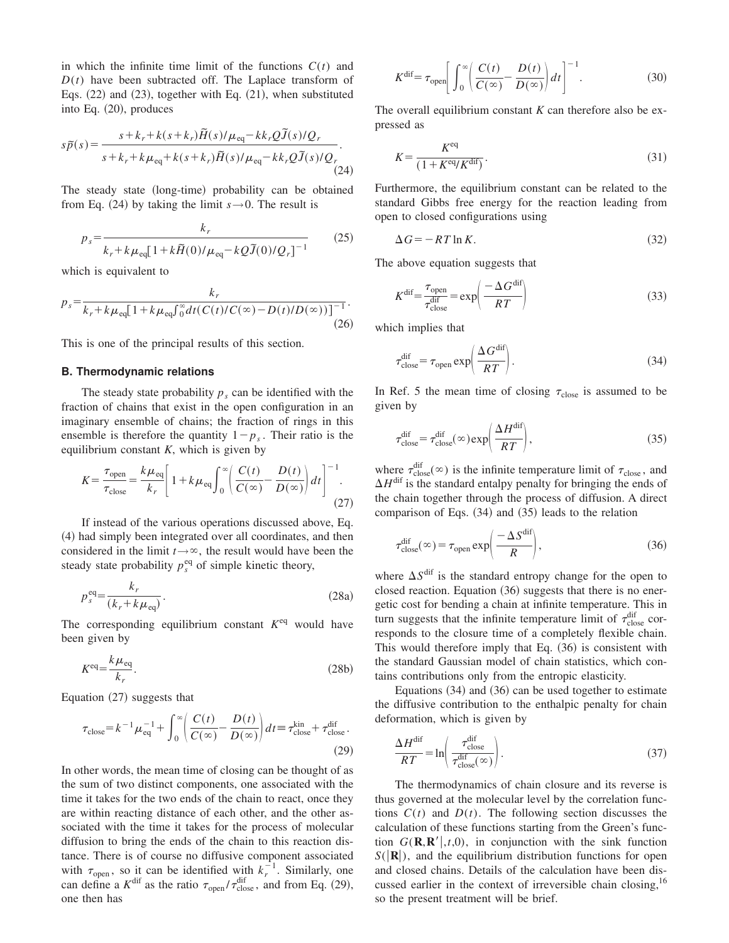in which the infinite time limit of the functions  $C(t)$  and  $D(t)$  have been subtracted off. The Laplace transform of Eqs.  $(22)$  and  $(23)$ , together with Eq.  $(21)$ , when substituted into Eq.  $(20)$ , produces

$$
s\tilde{p}(s) = \frac{s + k_r + k(s + k_r)\tilde{H}(s)/\mu_{\text{eq}} - kk_rQ\tilde{J}(s)/Q_r}{s + k_r + k\mu_{\text{eq}} + k(s + k_r)\tilde{H}(s)/\mu_{\text{eq}} - kk_rQ\tilde{J}(s)/Q_r}.
$$
\n(24)

The steady state (long-time) probability can be obtained from Eq. (24) by taking the limit  $s \rightarrow 0$ . The result is

$$
p_s = \frac{k_r}{k_r + k\mu_{\text{eq}}[1 + k\tilde{H}(0)/\mu_{\text{eq}} - kQ\tilde{J}(0)/Q_r]^{-1}}
$$
(25)

which is equivalent to

$$
p_s = \frac{k_r}{k_r + k\mu_{eq} \left[1 + k\mu_{eq} \int_0^\infty dt (C(t)/C(\infty) - D(t)/D(\infty))\right]^{-1}}.
$$
\n(26)

This is one of the principal results of this section.

## **B. Thermodynamic relations**

The steady state probability  $p_s$  can be identified with the fraction of chains that exist in the open configuration in an imaginary ensemble of chains; the fraction of rings in this ensemble is therefore the quantity  $1-p_s$ . Their ratio is the equilibrium constant *K*, which is given by

$$
K = \frac{\tau_{\text{open}}}{\tau_{\text{close}}} = \frac{k\mu_{\text{eq}}}{k_r} \left[ 1 + k\mu_{\text{eq}} \int_0^\infty \left( \frac{C(t)}{C(\infty)} - \frac{D(t)}{D(\infty)} \right) dt \right]^{-1}.
$$
\n(27)

If instead of the various operations discussed above, Eq. (4) had simply been integrated over all coordinates, and then considered in the limit  $t \rightarrow \infty$ , the result would have been the steady state probability  $p_s^{\text{eq}}$  of simple kinetic theory,

$$
p_s^{\text{eq}} = \frac{k_r}{(k_r + k\mu_{\text{eq}})}.
$$
\n(28a)

The corresponding equilibrium constant  $K^{eq}$  would have been given by

$$
K^{\text{eq}} = \frac{k\mu_{\text{eq}}}{k_r}.
$$
\n(28b)

Equation  $(27)$  suggests that

$$
\tau_{\text{close}} = k^{-1} \mu_{\text{eq}}^{-1} + \int_0^\infty \left( \frac{C(t)}{C(\infty)} - \frac{D(t)}{D(\infty)} \right) dt = \tau_{\text{close}}^{\text{kin}} + \tau_{\text{close}}^{\text{dif}}.
$$
\n(29)

In other words, the mean time of closing can be thought of as the sum of two distinct components, one associated with the time it takes for the two ends of the chain to react, once they are within reacting distance of each other, and the other associated with the time it takes for the process of molecular diffusion to bring the ends of the chain to this reaction distance. There is of course no diffusive component associated with  $\tau_{open}$ , so it can be identified with  $k_r^{-1}$ . Similarly, one can define a  $K^{\text{dif}}$  as the ratio  $\tau_{\text{open}} / \tau_{\text{close}}^{\text{dif}}$ , and from Eq. (29), one then has

$$
K^{\text{dif}} = \tau_{\text{open}} \left[ \int_0^\infty \left( \frac{C(t)}{C(\infty)} - \frac{D(t)}{D(\infty)} \right) dt \right]^{-1}.
$$
 (30)

The overall equilibrium constant *K* can therefore also be expressed as

$$
K = \frac{K^{\text{eq}}}{\left(1 + K^{\text{eq}} / K^{\text{dif}}\right)}.
$$
\n(31)

Furthermore, the equilibrium constant can be related to the standard Gibbs free energy for the reaction leading from open to closed configurations using

$$
\Delta G = -RT \ln K. \tag{32}
$$

The above equation suggests that

$$
K^{\text{dif}} = \frac{\tau_{\text{open}}}{\tau_{\text{close}}^{\text{dif}}} = \exp\left(\frac{-\Delta G^{\text{dif}}}{RT}\right)
$$
(33)

which implies that

$$
\tau_{\text{close}}^{\text{dif}} = \tau_{\text{open}} \exp\left(\frac{\Delta G^{\text{dif}}}{RT}\right). \tag{34}
$$

In Ref. 5 the mean time of closing  $\tau_{\text{close}}$  is assumed to be given by

$$
\tau_{\text{close}}^{\text{dif}} = \tau_{\text{close}}^{\text{dif}}(\infty) \exp\left(\frac{\Delta H^{\text{dif}}}{RT}\right),\tag{35}
$$

where  $\tau_{\text{close}}^{\text{dif}}(\infty)$  is the infinite temperature limit of  $\tau_{\text{close}}$ , and  $\Delta H^{\text{dif}}$  is the standard entalpy penalty for bringing the ends of the chain together through the process of diffusion. A direct comparison of Eqs.  $(34)$  and  $(35)$  leads to the relation

$$
\tau_{\text{close}}^{\text{dif}}(\infty) = \tau_{\text{open}} \exp\left(\frac{-\Delta S^{\text{dif}}}{R}\right),\tag{36}
$$

where  $\Delta S^{\text{dif}}$  is the standard entropy change for the open to closed reaction. Equation  $(36)$  suggests that there is no energetic cost for bending a chain at infinite temperature. This in turn suggests that the infinite temperature limit of  $\tau_{\text{close}}^{\text{dif}}$  corresponds to the closure time of a completely flexible chain. This would therefore imply that Eq.  $(36)$  is consistent with the standard Gaussian model of chain statistics, which contains contributions only from the entropic elasticity.

Equations  $(34)$  and  $(36)$  can be used together to estimate the diffusive contribution to the enthalpic penalty for chain deformation, which is given by

$$
\frac{\Delta H^{\text{dif}}}{RT} = \ln \left( \frac{\tau_{\text{close}}^{\text{dif}}}{\tau_{\text{close}}^{\text{dif}}(\infty)} \right). \tag{37}
$$

The thermodynamics of chain closure and its reverse is thus governed at the molecular level by the correlation functions  $C(t)$  and  $D(t)$ . The following section discusses the calculation of these functions starting from the Green's function  $G(\mathbf{R}, \mathbf{R}^{\prime} |, t, 0)$ , in conjunction with the sink function  $S(|\mathbf{R}|)$ , and the equilibrium distribution functions for open and closed chains. Details of the calculation have been discussed earlier in the context of irreversible chain closing,<sup>16</sup> so the present treatment will be brief.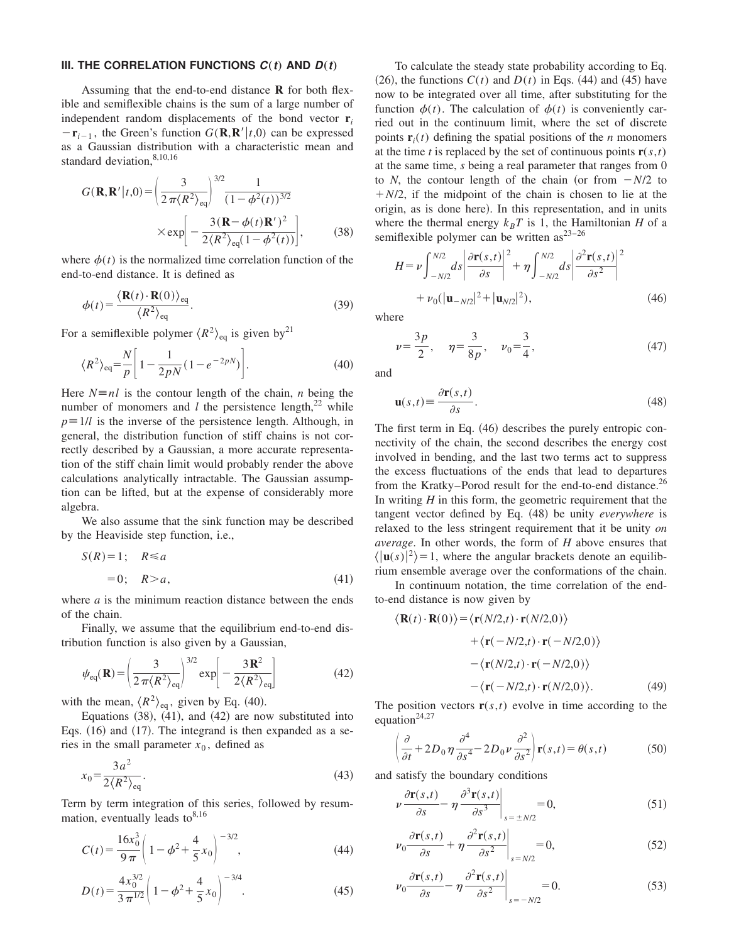#### **III. THE CORRELATION FUNCTIONS**  $C(t)$  AND  $D(t)$

Assuming that the end-to-end distance **R** for both flexible and semiflexible chains is the sum of a large number of independent random displacements of the bond vector  $\mathbf{r}_i$  $-\mathbf{r}_{i-1}$ , the Green's function  $G(\mathbf{R}, \mathbf{R}' | t, 0)$  can be expressed as a Gaussian distribution with a characteristic mean and standard deviation, 8,10,16

$$
G(\mathbf{R}, \mathbf{R'} | t, 0) = \left(\frac{3}{2\pi \langle R^2 \rangle_{\text{eq}}}\right)^{3/2} \frac{1}{(1 - \phi^2(t))^{3/2}}
$$

$$
\times \exp\left[-\frac{3(\mathbf{R} - \phi(t)\mathbf{R'})^2}{2\langle R^2 \rangle_{\text{eq}}(1 - \phi^2(t))}\right], \tag{38}
$$

where  $\phi(t)$  is the normalized time correlation function of the end-to-end distance. It is defined as

$$
\phi(t) = \frac{\langle \mathbf{R}(t) \cdot \mathbf{R}(0) \rangle_{\text{eq}}}{\langle R^2 \rangle_{\text{eq}}}.
$$
\n(39)

For a semiflexible polymer  $\langle R^2 \rangle_{\text{eq}}$  is given by<sup>21</sup>

$$
\langle R^2 \rangle_{\text{eq}} = \frac{N}{p} \left[ 1 - \frac{1}{2pN} (1 - e^{-2pN}) \right]. \tag{40}
$$

Here  $N = nl$  is the contour length of the chain, *n* being the number of monomers and *l* the persistence length, $^{22}$  while  $p \equiv 1/l$  is the inverse of the persistence length. Although, in general, the distribution function of stiff chains is not correctly described by a Gaussian, a more accurate representation of the stiff chain limit would probably render the above calculations analytically intractable. The Gaussian assumption can be lifted, but at the expense of considerably more algebra.

We also assume that the sink function may be described by the Heaviside step function, i.e.,

$$
S(R) = 1; \quad R \le a
$$
  

$$
= 0; \quad R > a,
$$
 (41)

where *a* is the minimum reaction distance between the ends of the chain.

Finally, we assume that the equilibrium end-to-end distribution function is also given by a Gaussian,

$$
\psi_{\text{eq}}(\mathbf{R}) = \left(\frac{3}{2\pi \langle R^2 \rangle_{\text{eq}}}\right)^{3/2} \exp\left[-\frac{3\,\mathbf{R}^2}{2\langle R^2 \rangle_{\text{eq}}}\right] \tag{42}
$$

with the mean,  $\langle R^2 \rangle_{\text{eq}}$ , given by Eq. (40).

Equations  $(38)$ ,  $(41)$ , and  $(42)$  are now substituted into Eqs.  $(16)$  and  $(17)$ . The integrand is then expanded as a series in the small parameter  $x_0$ , defined as

$$
x_0 = \frac{3a^2}{2\langle R^2 \rangle_{\text{eq}}}.\tag{43}
$$

Term by term integration of this series, followed by resummation, eventually leads to  $8,16$ 

$$
C(t) = \frac{16x_0^3}{9\pi} \left( 1 - \phi^2 + \frac{4}{5}x_0 \right)^{-3/2},
$$
\n(44)

$$
D(t) = \frac{4x_0^{3/2}}{3\pi^{1/2}} \left(1 - \phi^2 + \frac{4}{5}x_0\right)^{-3/4}.
$$
 (45)

To calculate the steady state probability according to Eq.  $(26)$ , the functions  $C(t)$  and  $D(t)$  in Eqs.  $(44)$  and  $(45)$  have now to be integrated over all time, after substituting for the function  $\phi(t)$ . The calculation of  $\phi(t)$  is conveniently carried out in the continuum limit, where the set of discrete points  $\mathbf{r}_i(t)$  defining the spatial positions of the *n* monomers at the time *t* is replaced by the set of continuous points  $\mathbf{r}(s,t)$ at the same time, *s* being a real parameter that ranges from 0 to *N*, the contour length of the chain (or from  $-N/2$  to  $+N/2$ , if the midpoint of the chain is chosen to lie at the origin, as is done here). In this representation, and in units where the thermal energy  $k_B T$  is 1, the Hamiltonian *H* of a semiflexible polymer can be written  $\text{as}^{23-26}$ 

$$
H = \nu \int_{-N/2}^{N/2} ds \left| \frac{\partial \mathbf{r}(s,t)}{\partial s} \right|^2 + \eta \int_{-N/2}^{N/2} ds \left| \frac{\partial^2 \mathbf{r}(s,t)}{\partial s^2} \right|^2 + \nu_0 (|\mathbf{u}_{-N/2}|^2 + |\mathbf{u}_{N/2}|^2), \tag{46}
$$

where

$$
\nu = \frac{3p}{2}, \quad \eta = \frac{3}{8p}, \quad \nu_0 = \frac{3}{4}, \tag{47}
$$

and

$$
\mathbf{u}(s,t) \equiv \frac{\partial \mathbf{r}(s,t)}{\partial s}.
$$
\n(48)

The first term in Eq.  $(46)$  describes the purely entropic connectivity of the chain, the second describes the energy cost involved in bending, and the last two terms act to suppress the excess fluctuations of the ends that lead to departures from the Kratky–Porod result for the end-to-end distance.<sup>26</sup> In writing *H* in this form, the geometric requirement that the tangent vector defined by Eq.  $(48)$  be unity *everywhere* is relaxed to the less stringent requirement that it be unity *on average*. In other words, the form of *H* above ensures that  $\langle |u(s)|^2 \rangle = 1$ , where the angular brackets denote an equilibrium ensemble average over the conformations of the chain.

In continuum notation, the time correlation of the endto-end distance is now given by

$$
\langle \mathbf{R}(t) \cdot \mathbf{R}(0) \rangle = \langle \mathbf{r}(N/2, t) \cdot \mathbf{r}(N/2, 0) \rangle \n+ \langle \mathbf{r}(-N/2, t) \cdot \mathbf{r}(-N/2, 0) \rangle \n- \langle \mathbf{r}(N/2, t) \cdot \mathbf{r}(-N/2, 0) \rangle \n- \langle \mathbf{r}(-N/2, t) \cdot \mathbf{r}(N/2, 0) \rangle.
$$
\n(49)

The position vectors  $\mathbf{r}(s,t)$  evolve in time according to the equation<sup>24,27</sup>

$$
\left(\frac{\partial}{\partial t} + 2D_0 \eta \frac{\partial^4}{\partial s^4} - 2D_0 \nu \frac{\partial^2}{\partial s^2}\right) \mathbf{r}(s, t) = \theta(s, t)
$$
 (50)

and satisfy the boundary conditions

 $\overline{\nu}$ 

$$
\left. \frac{\partial \mathbf{r}(s,t)}{\partial s} - \eta \frac{\partial^3 \mathbf{r}(s,t)}{\partial s^3} \right|_{s = \pm N/2} = 0, \tag{51}
$$

$$
\left. \nu_0 \frac{\partial \mathbf{r}(s,t)}{\partial s} + \eta \frac{\partial^2 \mathbf{r}(s,t)}{\partial s^2} \right|_{s=N/2} = 0, \tag{52}
$$

$$
\left. \nu_0 \frac{\partial \mathbf{r}(s,t)}{\partial s} - \eta \frac{\partial^2 \mathbf{r}(s,t)}{\partial s^2} \right|_{s = -N/2} = 0. \tag{53}
$$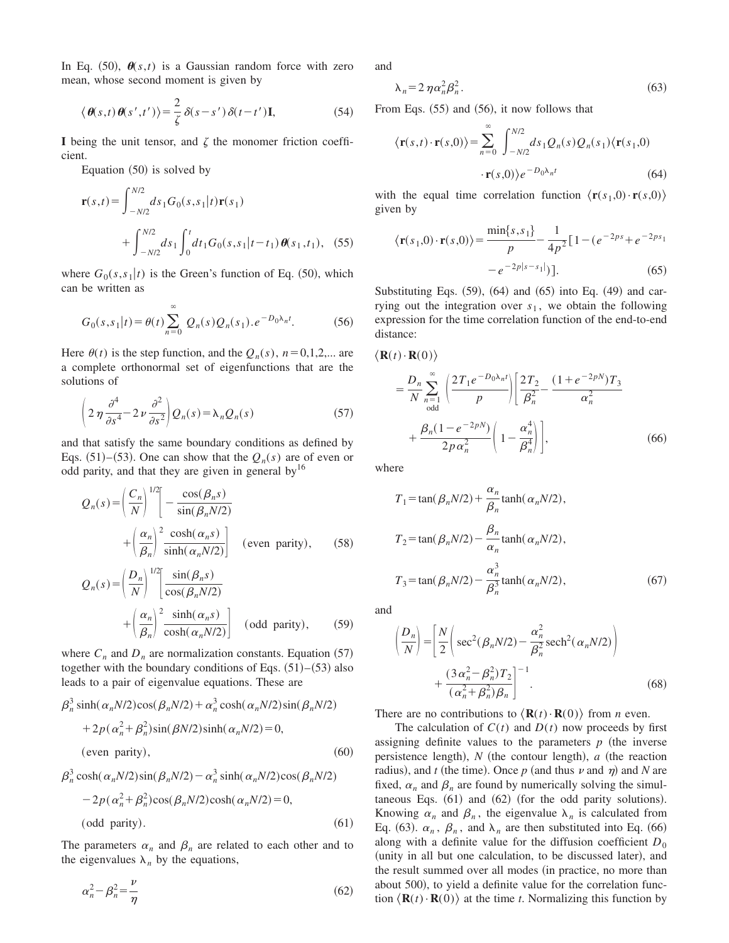In Eq.  $(50)$ ,  $\theta(s,t)$  is a Gaussian random force with zero mean, whose second moment is given by

$$
\langle \boldsymbol{\theta}(s,t) \boldsymbol{\theta}(s',t') \rangle = \frac{2}{\zeta} \delta(s-s') \delta(t-t') \mathbf{I},
$$
 (54)

I being the unit tensor, and  $\zeta$  the monomer friction coefficient.

Equation  $(50)$  is solved by

$$
\mathbf{r}(s,t) = \int_{-N/2}^{N/2} ds_1 G_0(s,s_1|t) \mathbf{r}(s_1)
$$
  
+ 
$$
\int_{-N/2}^{N/2} ds_1 \int_0^t dt_1 G_0(s,s_1|t-t_1) \theta(s_1,t_1), \quad (55)
$$

where  $G_0(s,s_1|t)$  is the Green's function of Eq. (50), which can be written as

$$
G_0(s,s_1|t) = \theta(t) \sum_{n=0}^{\infty} Q_n(s) Q_n(s_1) . e^{-D_0 \lambda_n t}.
$$
 (56)

Here  $\theta(t)$  is the step function, and the  $Q_n(s)$ ,  $n=0,1,2,...$  are a complete orthonormal set of eigenfunctions that are the solutions of

$$
\left(2\,\eta\,\frac{\partial^4}{\partial s^4} - 2\,\nu\,\frac{\partial^2}{\partial s^2}\right)Q_n(s) = \lambda_n Q_n(s)
$$
\n<sup>(57)</sup>

and that satisfy the same boundary conditions as defined by Eqs.  $(51)$ – $(53)$ . One can show that the  $Q_n(s)$  are of even or odd parity, and that they are given in general  $by<sup>16</sup>$ 

$$
Q_n(s) = \left(\frac{C_n}{N}\right)^{1/2} \left[-\frac{\cos(\beta_n s)}{\sin(\beta_n N/2)} + \left(\frac{\alpha_n}{\beta_n}\right)^2 \frac{\cosh(\alpha_n s)}{\sinh(\alpha_n N/2)}\right] \quad \text{(even parity)}, \qquad (58)
$$

$$
Q_n(s) = \left(\frac{D_n}{N}\right)^{1/2} \left[\frac{\sin(\beta_n s)}{\cos(\beta_n N/2)} + \left(\frac{\alpha_n}{\beta_n}\right)^2 \frac{\sinh(\alpha_n s)}{\cosh(\alpha_n N/2)}\right] \quad \text{(odd parity)}, \tag{59}
$$

where  $C_n$  and  $D_n$  are normalization constants. Equation (57) together with the boundary conditions of Eqs.  $(51)–(53)$  also leads to a pair of eigenvalue equations. These are

$$
\beta_n^3 \sinh(\alpha_n N/2) \cos(\beta_n N/2) + \alpha_n^3 \cosh(\alpha_n N/2) \sin(\beta_n N/2)
$$
  
+ 
$$
2p(\alpha_n^2 + \beta_n^2) \sin(\beta N/2) \sinh(\alpha_n N/2) = 0,
$$
  
(even parity), (60)

$$
\beta_n^3 \cosh(\alpha_n N/2) \sin(\beta_n N/2) - \alpha_n^3 \sinh(\alpha_n N/2) \cos(\beta_n N/2)
$$
  
- 2p(\alpha\_n^2 + \beta\_n^2) \cos(\beta\_n N/2) \cosh(\alpha\_n N/2) = 0,  
(odd parity). (61)

The parameters  $\alpha_n$  and  $\beta_n$  are related to each other and to the eigenvalues  $\lambda_n$  by the equations,

$$
\alpha_n^2 - \beta_n^2 = \frac{\nu}{\eta} \tag{62}
$$

and

$$
\lambda_n = 2 \eta \alpha_n^2 \beta_n^2. \tag{63}
$$

From Eqs.  $(55)$  and  $(56)$ , it now follows that

$$
\langle \mathbf{r}(s,t) \cdot \mathbf{r}(s,0) \rangle = \sum_{n=0}^{\infty} \int_{-N/2}^{N/2} ds_1 Q_n(s) Q_n(s_1) \langle \mathbf{r}(s_1,0) \rangle
$$

$$
\cdot \mathbf{r}(s,0) \rangle e^{-D_0 \lambda_n t} \tag{64}
$$

with the equal time correlation function  $\langle \mathbf{r}(s_1,0) \cdot \mathbf{r}(s,0) \rangle$ given by

$$
\langle \mathbf{r}(s_1,0) \cdot \mathbf{r}(s,0) \rangle = \frac{\min\{s,s_1\}}{p} - \frac{1}{4p^2} \big[ 1 - (e^{-2ps} + e^{-2ps_1} - e^{-2ps_1}) \big] \tag{65}
$$

Substituting Eqs.  $(59)$ ,  $(64)$  and  $(65)$  into Eq.  $(49)$  and carrying out the integration over  $s_1$ , we obtain the following expression for the time correlation function of the end-to-end distance:

$$
\langle \mathbf{R}(t) \cdot \mathbf{R}(0) \rangle
$$
  
=  $\frac{D_n}{N} \sum_{\substack{n=1 \text{odd}}}^{\infty} \left( \frac{2T_1 e^{-D_0 \lambda_n t}}{p} \right) \left[ \frac{2T_2}{\beta_n^2} - \frac{(1 + e^{-2pN})T_3}{\alpha_n^2} + \frac{\beta_n (1 - e^{-2pN})}{2p \alpha_n^2} \left( 1 - \frac{\alpha_n^4}{\beta_n^4} \right) \right],$  (66)

where

$$
T_1 = \tan(\beta_n N/2) + \frac{\alpha_n}{\beta_n} \tanh(\alpha_n N/2),
$$
  
\n
$$
T_2 = \tan(\beta_n N/2) - \frac{\beta_n}{\alpha_n} \tanh(\alpha_n N/2),
$$
  
\n
$$
T_3 = \tan(\beta_n N/2) - \frac{\alpha_n^3}{\beta_n^3} \tanh(\alpha_n N/2),
$$
\n(67)

and

$$
\left(\frac{D_n}{N}\right) = \left[\frac{N}{2}\left(\sec^2(\beta_n N/2) - \frac{\alpha_n^2}{\beta_n^2}\operatorname{sech}^2(\alpha_n N/2)\right) + \frac{(3\alpha_n^2 - \beta_n^2)T_2}{(\alpha_n^2 + \beta_n^2)\beta_n}\right]^{-1}.
$$
\n(68)

There are no contributions to  $\langle \mathbf{R}(t) \cdot \mathbf{R}(0) \rangle$  from *n* even.

The calculation of  $C(t)$  and  $D(t)$  now proceeds by first assigning definite values to the parameters  $p$  (the inverse persistence length),  $N$  (the contour length),  $a$  (the reaction radius), and *t* (the time). Once *p* (and thus *v* and  $\eta$ ) and *N* are fixed,  $\alpha_n$  and  $\beta_n$  are found by numerically solving the simultaneous Eqs.  $(61)$  and  $(62)$  (for the odd parity solutions). Knowing  $\alpha_n$  and  $\beta_n$ , the eigenvalue  $\lambda_n$  is calculated from Eq. (63).  $\alpha_n$ ,  $\beta_n$ , and  $\lambda_n$  are then substituted into Eq. (66) along with a definite value for the diffusion coefficient  $D_0$ (unity in all but one calculation, to be discussed later), and the result summed over all modes (in practice, no more than about 500), to yield a definite value for the correlation function  $\langle \mathbf{R}(t) \cdot \mathbf{R}(0) \rangle$  at the time *t*. Normalizing this function by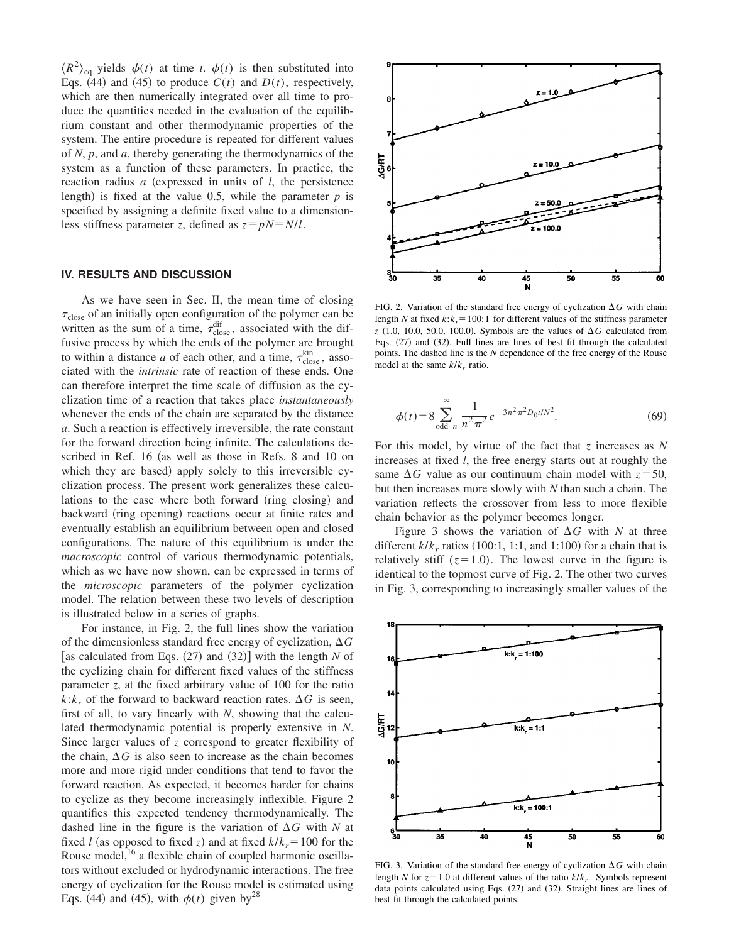$\langle R^2 \rangle_{\text{eq}}$  yields  $\phi(t)$  at time *t*.  $\phi(t)$  is then substituted into Eqs. (44) and (45) to produce  $C(t)$  and  $D(t)$ , respectively, which are then numerically integrated over all time to produce the quantities needed in the evaluation of the equilibrium constant and other thermodynamic properties of the system. The entire procedure is repeated for different values of *N*, *p*, and *a*, thereby generating the thermodynamics of the system as a function of these parameters. In practice, the reaction radius  $a$  (expressed in units of  $l$ , the persistence length) is fixed at the value 0.5, while the parameter  $p$  is specified by assigning a definite fixed value to a dimensionless stiffness parameter *z*, defined as  $z \equiv pN \equiv N/l$ .

### **IV. RESULTS AND DISCUSSION**

As we have seen in Sec. II, the mean time of closing  $\tau_{\text{close}}$  of an initially open configuration of the polymer can be written as the sum of a time,  $\tau_{\text{close}}^{\text{dif}}$ , associated with the diffusive process by which the ends of the polymer are brought to within a distance *a* of each other, and a time,  $\tau_{\text{close}}^{\text{kin}}$ , associated with the *intrinsic* rate of reaction of these ends. One can therefore interpret the time scale of diffusion as the cyclization time of a reaction that takes place *instantaneously* whenever the ends of the chain are separated by the distance *a*. Such a reaction is effectively irreversible, the rate constant for the forward direction being infinite. The calculations described in Ref. 16 (as well as those in Refs. 8 and 10 on which they are based) apply solely to this irreversible cyclization process. The present work generalizes these calculations to the case where both forward (ring closing) and backward (ring opening) reactions occur at finite rates and eventually establish an equilibrium between open and closed configurations. The nature of this equilibrium is under the *macroscopic* control of various thermodynamic potentials, which as we have now shown, can be expressed in terms of the *microscopic* parameters of the polymer cyclization model. The relation between these two levels of description is illustrated below in a series of graphs.

For instance, in Fig. 2, the full lines show the variation of the dimensionless standard free energy of cyclization,  $\Delta G$ [as calculated from Eqs.  $(27)$  and  $(32)$ ] with the length *N* of the cyclizing chain for different fixed values of the stiffness parameter *z*, at the fixed arbitrary value of 100 for the ratio  $k:k_r$  of the forward to backward reaction rates.  $\Delta G$  is seen, first of all, to vary linearly with *N*, showing that the calculated thermodynamic potential is properly extensive in *N*. Since larger values of *z* correspond to greater flexibility of the chain,  $\Delta G$  is also seen to increase as the chain becomes more and more rigid under conditions that tend to favor the forward reaction. As expected, it becomes harder for chains to cyclize as they become increasingly inflexible. Figure 2 quantifies this expected tendency thermodynamically. The dashed line in the figure is the variation of  $\Delta G$  with *N* at fixed *l* (as opposed to fixed *z*) and at fixed  $k/k_r = 100$  for the Rouse model,<sup>16</sup> a flexible chain of coupled harmonic oscillators without excluded or hydrodynamic interactions. The free energy of cyclization for the Rouse model is estimated using Eqs. (44) and (45), with  $\phi(t)$  given by<sup>28</sup>



FIG. 2. Variation of the standard free energy of cyclization  $\Delta G$  with chain length *N* at fixed  $k$ : $k_r$ =100:1 for different values of the stiffness parameter  $z$  (1.0, 10.0, 50.0, 100.0). Symbols are the values of  $\Delta G$  calculated from Eqs.  $(27)$  and  $(32)$ . Full lines are lines of best fit through the calculated points. The dashed line is the *N* dependence of the free energy of the Rouse model at the same *k*/*k<sup>r</sup>* ratio.

$$
\phi(t) = 8 \sum_{\text{odd } n}^{\infty} \frac{1}{n^2 \pi^2} e^{-3n^2 \pi^2 D_0 t / N^2}.
$$
 (69)

For this model, by virtue of the fact that *z* increases as *N* increases at fixed *l*, the free energy starts out at roughly the same  $\Delta G$  value as our continuum chain model with  $z=50$ , but then increases more slowly with *N* than such a chain. The variation reflects the crossover from less to more flexible chain behavior as the polymer becomes longer.

Figure 3 shows the variation of  $\Delta G$  with *N* at three different  $k/k_r$  ratios (100:1, 1:1, and 1:100) for a chain that is relatively stiff  $(z=1.0)$ . The lowest curve in the figure is identical to the topmost curve of Fig. 2. The other two curves in Fig. 3, corresponding to increasingly smaller values of the



FIG. 3. Variation of the standard free energy of cyclization  $\Delta G$  with chain length *N* for  $z = 1.0$  at different values of the ratio  $k/k_r$ . Symbols represent data points calculated using Eqs.  $(27)$  and  $(32)$ . Straight lines are lines of best fit through the calculated points.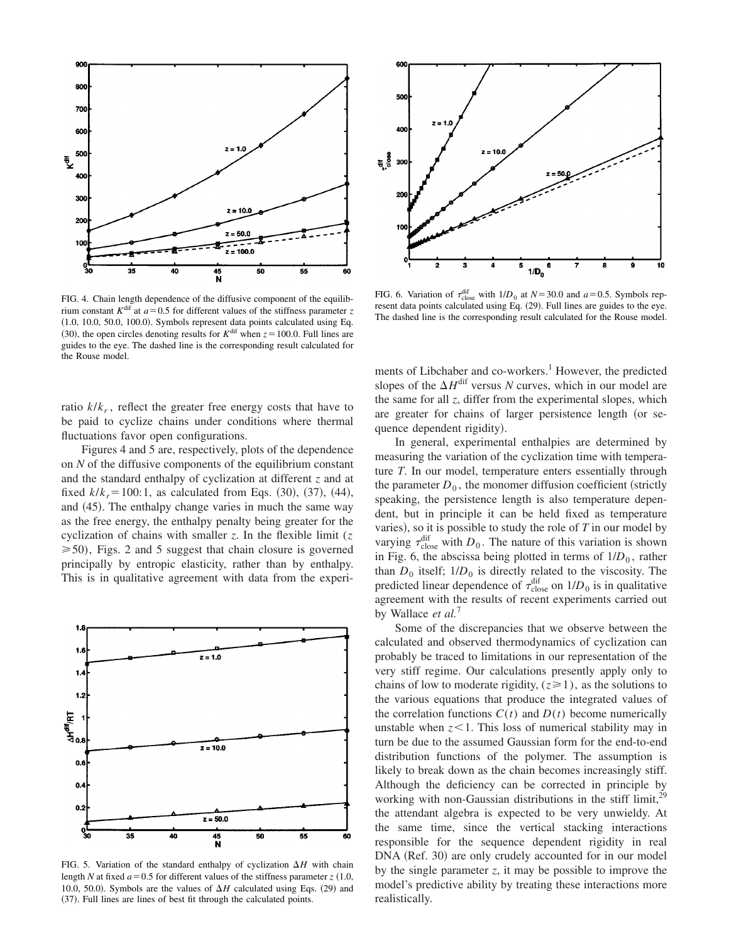

FIG. 4. Chain length dependence of the diffusive component of the equilibrium constant  $K^{\text{dif}}$  at  $a=0.5$  for different values of the stiffness parameter *z*  $(1.0, 10.0, 50.0, 100.0)$ . Symbols represent data points calculated using Eq. (30), the open circles denoting results for  $K^{\text{dif}}$  when  $z = 100.0$ . Full lines are guides to the eye. The dashed line is the corresponding result calculated for the Rouse model.

ratio *k*/*k<sup>r</sup>* , reflect the greater free energy costs that have to be paid to cyclize chains under conditions where thermal fluctuations favor open configurations.

Figures 4 and 5 are, respectively, plots of the dependence on *N* of the diffusive components of the equilibrium constant and the standard enthalpy of cyclization at different *z* and at fixed  $k/k = 100:1$ , as calculated from Eqs.  $(30)$ ,  $(37)$ ,  $(44)$ , and  $(45)$ . The enthalpy change varies in much the same way as the free energy, the enthalpy penalty being greater for the cyclization of chains with smaller *z*. In the flexible limit (*z*  $\geq 50$ ), Figs. 2 and 5 suggest that chain closure is governed principally by entropic elasticity, rather than by enthalpy. This is in qualitative agreement with data from the experi-



FIG. 5. Variation of the standard enthalpy of cyclization  $\Delta H$  with chain length *N* at fixed  $a=0.5$  for different values of the stiffness parameter  $z(1.0,$ 10.0, 50.0). Symbols are the values of  $\Delta H$  calculated using Eqs. (29) and (37). Full lines are lines of best fit through the calculated points.



FIG. 6. Variation of  $\tau_{\text{close}}^{\text{dif}}$  with  $1/D_0$  at  $N=30.0$  and  $a=0.5$ . Symbols represent data points calculated using Eq.  $(29)$ . Full lines are guides to the eye. The dashed line is the corresponding result calculated for the Rouse model.

ments of Libchaber and co-workers.<sup>1</sup> However, the predicted slopes of the  $\Delta H^{\text{dif}}$  versus *N* curves, which in our model are the same for all *z*, differ from the experimental slopes, which are greater for chains of larger persistence length (or sequence dependent rigidity).

In general, experimental enthalpies are determined by measuring the variation of the cyclization time with temperature *T*. In our model, temperature enters essentially through the parameter  $D_0$ , the monomer diffusion coefficient (strictly speaking, the persistence length is also temperature dependent, but in principle it can be held fixed as temperature varies), so it is possible to study the role of  $T$  in our model by varying  $\tau_{\text{close}}^{\text{dif}}$  with  $D_0$ . The nature of this variation is shown in Fig. 6, the abscissa being plotted in terms of  $1/D_0$ , rather than  $D_0$  itself;  $1/D_0$  is directly related to the viscosity. The predicted linear dependence of  $\tau_{\text{close}}^{\text{dif}}$  on  $1/D_0$  is in qualitative agreement with the results of recent experiments carried out by Wallace *et al.*<sup>7</sup>

Some of the discrepancies that we observe between the calculated and observed thermodynamics of cyclization can probably be traced to limitations in our representation of the very stiff regime. Our calculations presently apply only to chains of low to moderate rigidity,  $(z \ge 1)$ , as the solutions to the various equations that produce the integrated values of the correlation functions  $C(t)$  and  $D(t)$  become numerically unstable when  $z<1$ . This loss of numerical stability may in turn be due to the assumed Gaussian form for the end-to-end distribution functions of the polymer. The assumption is likely to break down as the chain becomes increasingly stiff. Although the deficiency can be corrected in principle by working with non-Gaussian distributions in the stiff limit, $^{29}$ the attendant algebra is expected to be very unwieldy. At the same time, since the vertical stacking interactions responsible for the sequence dependent rigidity in real DNA (Ref. 30) are only crudely accounted for in our model by the single parameter *z*, it may be possible to improve the model's predictive ability by treating these interactions more realistically.